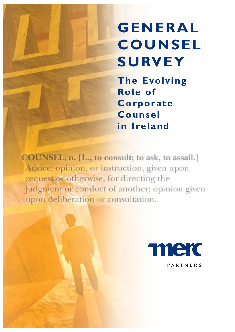# **GENERAL COUNSEL SURVEY**

**The Evolving Role of Corporate Counsel in Ireland**

COUNSEL, n. [L., to consult; to ask, to assail.] Advice; opinion, or instruction, given upon request or otherwise, for directing the judgment or conduct of another; opinion given upon deliberation or consultation.

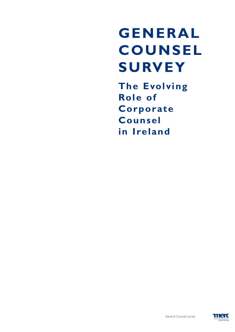# **GENERAL COUNSEL SURVEY**

**The Evolving Role of Corporate Counsel in Ireland**

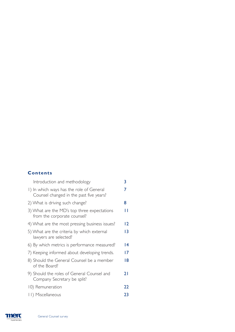# **Contents**

|                  | Introduction and methodology                                                        | 3  |  |  |
|------------------|-------------------------------------------------------------------------------------|----|--|--|
|                  | 1) In which ways has the role of General<br>Counsel changed in the past five years? | 7  |  |  |
|                  | 2) What is driving such change?                                                     | 8  |  |  |
|                  | 3) What are the MD's top three expectations<br>from the corporate counsel?          | Н  |  |  |
|                  | 4) What are the most pressing business issues?                                      | 12 |  |  |
|                  | 5) What are the criteria by which external<br>lawyers are selected?                 | 13 |  |  |
|                  | 6) By which metrics is performance measured?                                        | 14 |  |  |
|                  | 7) Keeping informed about developing trends.                                        | 17 |  |  |
|                  | 8) Should the General Counsel be a member<br>of the Board?                          | 18 |  |  |
|                  | 9) Should the roles of General Counsel and<br>Company Secretary be split?           | 21 |  |  |
| 10) Remuneration |                                                                                     |    |  |  |
|                  | 11) Miscellaneous                                                                   | 23 |  |  |

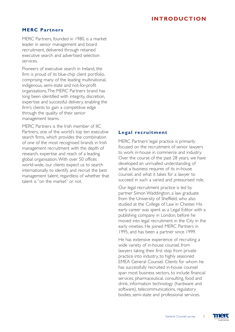# **INTRODUCTION**

#### **MERC Partners**

MERC Partners, founded in 1980, is a market leader in senior management and board recruitment, delivered through retained executive search and advertised selection services.

Pioneers of executive search in Ireland, the firm is proud of its blue-chip client portfolio, comprising many of the leading multinational, indigenous, semi-state and not-for-profit organisations.The MERC Partners brand has long been identified with integrity, discretion, expertise and successful delivery, enabling the firm's clients to gain a competitive edge through the quality of their senior management teams.

MERC Partners is the Irish member of IIC Partners, one of the world's top ten executive search firms, which provides the combination of one of the most recognised brands in Irish management recruitment with the depth of research, expertise and reach of a leading global organisation.With over 50 offices world-wide, our clients expect us to search internationally to identify and recruit the best management talent, regardless of whether that talent is "on the market" or not.

#### **Legal recruitment**

MERC Partners' legal practice is primarily focused on the recruitment of senior lawyers to work in-house in commerce and industry. Over the course of the past 28 years, we have developed an unrivalled understanding of what a business requires of its in-house counsel, and what it takes for a lawyer to succeed in such a varied and pressurised role.

Our legal recruitment practice is led by partner Simon Waddington, a law graduate from the University of Sheffield, who also studied at the College of Law in Chester. His early career was spent as a Legal Editor with a publishing company in London, before he moved into legal recruitment in the City in the early nineties. He joined MERC Partners in 1995, and has been a partner since 1999.

He has extensive experience of recruiting a wide variety of in-house counsel, from lawyers taking their first step from private practice into industry, to highly seasoned EMEA General Counsel. Clients for whom he has successfully recruited in-house counsel span most business sectors, to include financial services, pharmaceutical, consulting, food and drink, information technology (hardware and software), telecommunications, regulatory bodies, semi-state and professional services.

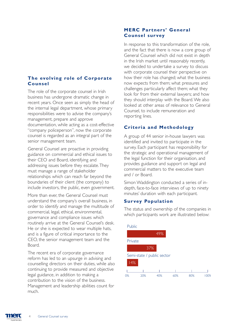# **The evolving role of Corporate Counsel**

The role of the corporate counsel in Irish business has undergone dramatic change in recent years. Once seen as simply the head of the internal legal department, whose primary responsibilities were to advise the company's management, prepare and approve documentation, while acting as a cost-effective "company policeperson", now the corporate counsel is regarded as an integral part of the senior management team.

General Counsel are proactive in providing guidance on commercial and ethical issues to their CEO and Board, identifying and addressing issues before they escalate.They must manage a range of stakeholder relationships which can reach far beyond the boundaries of their client (the company) to include investors, the public, even government.

More than ever, the General Counsel must understand the company's overall business, in order to identify and manage the multitude of commercial, legal, ethical, environmental, governance and compliance issues which routinely arrive at the General Counsel's desk. He or she is expected to wear multiple hats, and is a figure of critical importance to the CEO, the senior management team and the Board.

The recent era of corporate governance reform has led to an upsurge in advising and counselling directors on their duties, while also continuing to provide measured and objective legal guidance, in addition to making a contribution to the vision of the business. Management and leadership abilities count for much.

# **MERC Partners' General Counsel survey**

In response to this transformation of the role, and the fact that there is now a core group of General Counsel which did not exist in depth in the Irish market until reasonably recently, we decided to undertake a survey to discuss with corporate counsel their perspective on how their role has changed; what the business now expects from them; what pressures and challenges particularly affect them; what they look for from their external lawyers; and how they should interplay with the Board.We also looked at other areas of relevance to General Counsel, to include remuneration and reporting lines.

# **Criteria and Methodology**

A group of 44 senior in-house lawyers was identified and invited to participate in the survey. Each participant has responsibility for the strategic and operational management of the legal function for their organisation, and provides guidance and support on legal and commercial matters to the executive team and / or Board.

Simon Waddington conducted a series of indepth, face-to-face interviews of up to ninety minutes' duration with each participant.

# **Survey Population**

The status and ownership of the companies in which participants work are illustrated below:

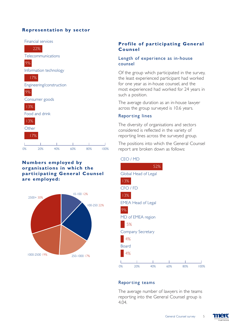#### **Representation by sector**



#### **Numbers employed by organisations in which the participating General Counsel are employed:**



# **Profile of participating General Counsel**

#### Length of experience as in-house counsel

Of the group which participated in the survey, the least experienced participant had worked for one year as in-house counsel, and the most experienced had worked for 24 years in such a position.

The average duration as an in-house lawyer across the group surveyed is 10.6 years.

#### Reporting lines

The diversity of organisations and sectors considered is reflected in the variety of reporting lines across the surveyed group.

The positions into which the General Counsel report are broken down as follows:





#### Reporting teams

The average number of lawyers in the teams reporting into the General Counsel group is 4.04.

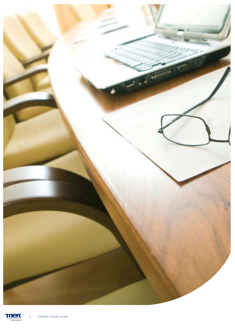

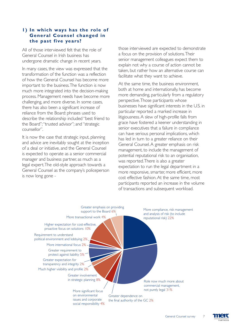#### **1) In which ways has the role of General Counsel changed in the past five years?**

All of those interviewed felt that the role of General Counsel in Irish business has undergone dramatic change in recent years.

In many cases, the view was expressed that the transformation of the function was a reflection of how the General Counsel has become more important to the business.The function is now much more integrated into the decision-making process. Management needs have become more challenging, and more diverse. In some cases, there has also been a significant increase of reliance from the Board: phrases used to describe the relationship included "best friend to the Board";"trusted advisor"; and "strategic counsellor".

It is now the case that strategic input, planning and advice are inevitably sought at the inception of a deal or initiative, and the General Counsel is expected to operate as a senior commercial manager and business partner, as much as a legal expert.The old-style approach towards a General Counsel as the company's policeperson is now long gone -

those interviewed are expected to demonstrate a focus on the provision of solutions.Their senior management colleagues expect them to explain not why a course of action cannot be taken, but rather how an alternative course can facilitate what they want to achieve.

At the same time, the business environment, both at home and internationally, has become more demanding, particularly from a regulatory perspective.Those participants whose businesses have significant interests in the U.S. in particular reported a marked increase in litigiousness.A slew of high-profile falls from grace have fostered a keener understanding in senior executives that a failure in compliance can have serious personal implications, which has led in turn to a greater reliance on their General Counsel.A greater emphasis on risk management, to include the management of potential reputational risk to an organisation, was reported.There is also a greater expectation to run the legal department in a more responsive, smarter, more efficient, more cost effective fashion.At the same time, most participants reported an increase in the volume of transactions and subsequent workload.



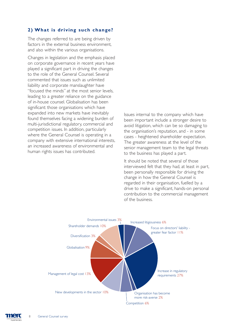### **2) What is driving such change?**

The changes referred to are being driven by factors in the external business environment, and also within the various organisations.

Changes in legislation and the emphasis placed on corporate governance in recent years have played a significant part in driving the changes to the role of the General Counsel. Several commented that issues such as unlimited liability and corporate manslaughter have "focused the minds" at the most senior levels, leading to a greater reliance on the guidance of in-house counsel. Globalisation has been significant: those organisations which have expanded into new markets have inevitably found themselves facing a widening burden of multi-jurisdictional regulatory, commercial and competition issues. In addition, particularly where the General Counsel is operating in a company with extensive international interests, an increased awareness of environmental and human rights issues has contributed.

Issues internal to the company which have been important include a stronger desire to avoid litigation, which can be so damaging to the organisation's reputation, and - in some cases - heightened shareholder expectation. The greater awareness at the level of the senior management team to the legal threats to the business has played a part.

It should be noted that several of those interviewed felt that they had, at least in part, been personally responsible for driving the change in how the General Counsel is regarded in their organisation, fuelled by a drive to make a significant, hands-on personal contribution to the commercial management of the business.



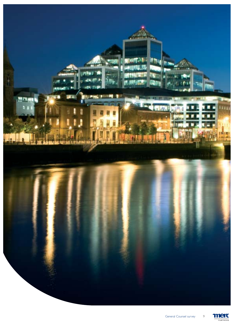

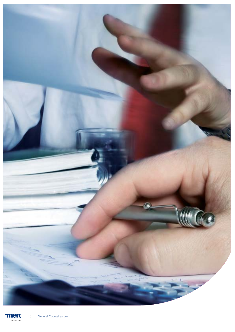

PARTNERS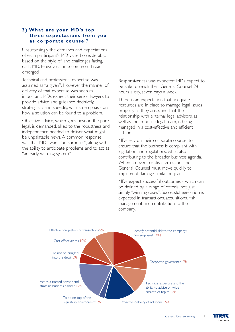#### **3) What are your MD's top three expectations from you as corporate counsel?**

Unsurprisingly, the demands and expectations of each participant's MD varied considerably, based on the style of, and challenges facing, each MD. However, some common threads emerged.

Technical and professional expertise was assumed as "a given". However, the manner of delivery of that expertise was seen as important: MDs expect their senior lawyers to provide advice and guidance decisively, strategically and speedily, with an emphasis on how a solution can be found to a problem.

Objective advice, which goes beyond the pure legal, is demanded, allied to the robustness and independence needed to deliver what might be unpalatable news. A common response was that MDs want "no surprises", along with the ability to anticipate problems and to act as "an early warning system".

Responsiveness was expected: MDs expect to be able to reach their General Counsel 24 hours a day, seven days a week.

There is an expectation that adequate resources are in place to manage legal issues properly as they arise, and that the relationship with external legal advisors, as well as the in-house legal team, is being managed in a cost-effective and efficient fashion.

MDs rely on their corporate counsel to ensure that the business is compliant with legislation and regulations, while also contributing to the broader business agenda. When an event or disaster occurs, the General Counsel must move quickly to implement damage limitation plans.

MDs expect successful outcomes - which can be defined by a range of criteria, not just simply "winning cases". Successful execution is expected in transactions, acquisitions, risk management and contribution to the company.



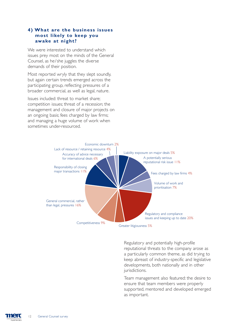#### **4) What are the business issues most likely to keep you awake at night?**

We were interested to understand which issues prey most on the minds of the General Counsel, as he/she juggles the diverse demands of their position.

Most reported wryly that they slept soundly, but again certain trends emerged across the participating group, reflecting pressures of a broader commercial, as well as legal, nature.

Issues included: threat to market share; competition issues; threat of a recession; the management and closure of major projects on an ongoing basis; fees charged by law firms; and managing a huge volume of work when sometimes under-resourced.



Regulatory and potentially high-profile reputational threats to the company arose as a particularly common theme, as did trying to keep abreast of industry-specific and legislative developments, both nationally and in other jurisdictions.

Team management also featured: the desire to ensure that team members were properly supported, mentored and developed emerged as important.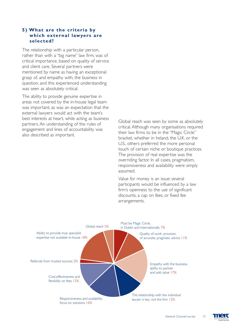#### **5) What are the criteria by which external lawyers are selected?**

The relationship with a particular person, rather than with a "big name" law firm, was of critical importance, based on quality of service and client care. Several partners were mentioned by name as having an exceptional grasp of, and empathy with, the business in question, and this experienced understanding was seen as absolutely critical.

The ability to provide genuine expertise in areas not covered by the in-house legal team was important, as was an expectation that the external lawyers would act with the team's best interests at heart, while acting as business partners. An understanding of the rules of engagement and lines of accountability was also described as important.

Global reach was seen by some as absolutely critical. Although many organisations required their law firms to be in the "Magic Circle" bracket, whether in Ireland, the U.K. or the U.S., others preferred the more personal touch of certain niche or boutique practices. The provision of real expertise was the overriding factor. In all cases, pragmatism, responsiveness and availability were simply assumed.

Value for money is an issue: several participants would be influenced by a law firm's openness to the use of significant discounts, a cap on fees, or fixed fee arrangements.



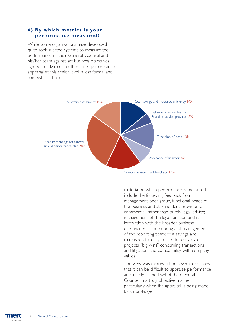#### **6) By which metrics is your performance measured?**

While some organisations have developed quite sophisticated systems to measure the performance of their General Counsel and his /her team against set business objectives agreed in advance, in other cases performance appraisal at this senior level is less formal and somewhat ad hoc.



Comprehensive client feedback 17%

Criteria on which performance is measured include the following: feedback from management peer group, functional heads of the business and stakeholders; provision of commercial, rather than purely legal, advice; management of the legal function and its interaction with the broader business; effectiveness of mentoring and management of the reporting team; cost savings and increased efficiency; successful delivery of projects;"big wins" concerning transactions and litigation; and compatibility with company values.

The view was expressed on several occasions that it can be difficult to appraise performance adequately at the level of the General Counsel in a truly objective manner, particularly when the appraisal is being made by a non-lawyer.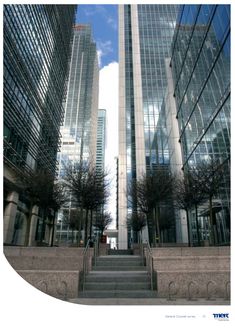

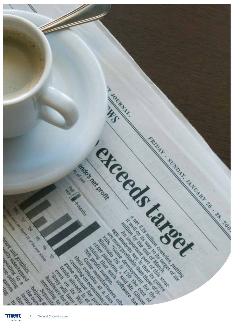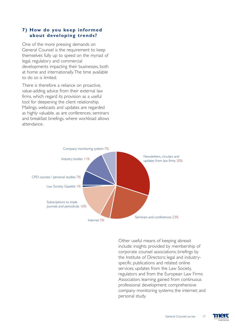#### **7) How do you keep informed about developing trends?**

One of the more pressing demands on General Counsel is the requirement to keep themselves fully up to speed on the myriad of legal, regulatory and commercial developments impacting their businesses, both at home and internationally.The time available to do so is limited.

There is therefore a reliance on proactive, value-adding advice from their external law firms, which regard its provision as a useful tool for deepening the client relationship. Mailings, webcasts and updates are regarded as highly valuable, as are conferences, seminars and breakfast briefings, where workload allows attendance.



Other useful means of keeping abreast include: insights provided by membership of corporate counsel associations; briefings by the Institute of Directors; legal and industryspecific publications and related online services; updates from the Law Society, regulators and from the European Law Firms Association; learning gained from continuous professional development; comprehensive company monitoring systems; the internet; and personal study.

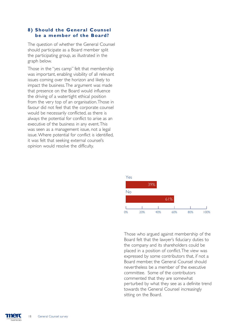#### **8) Should the General Counsel be a member of the Board?**

The question of whether the General Counsel should participate as a Board member split the participating group, as illustrated in the graph below.

Those in the "yes camp" felt that membership was important, enabling visibility of all relevant issues coming over the horizon and likely to impact the business.The argument was made that presence on the Board would influence the driving of a watertight ethical position from the very top of an organisation.Those in favour did not feel that the corporate counsel would be necessarily conflicted, as there is always the potential for conflict to arise as an executive of the business in any event.This was seen as a management issue, not a legal issue.Where potential for conflict is identified, it was felt that seeking external counsel's opinion would resolve the difficulty.



Those who argued against membership of the Board felt that the lawyer's fiduciary duties to the company and its shareholders could be placed in a position of conflict.The view was expressed by some contributors that, if not a Board member, the General Counsel should nevertheless be a member of the executive committee. Some of the contributors commented that they are somewhat perturbed by what they see as a definite trend towards the General Counsel increasingly sitting on the Board.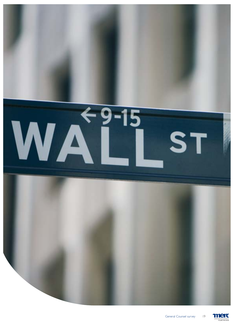

![](_page_20_Picture_2.jpeg)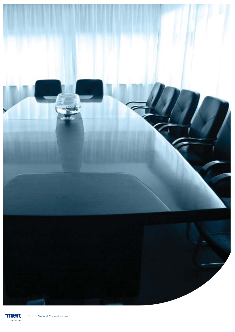![](_page_21_Picture_0.jpeg)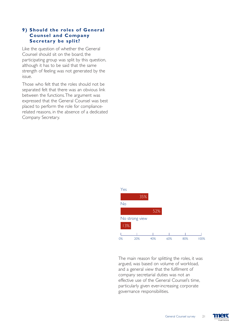#### **9) Should the roles of General Counsel and Company Secretary be split?**

Like the question of whether the General Counsel should sit on the board, the participating group was split by this question, although it has to be said that the same strength of feeling was not generated by the issue.

Those who felt that the roles should not be separated felt that there was an obvious link between the functions.The argument was expressed that the General Counsel was best placed to perform the role for compliancerelated reasons, in the absence of a dedicated Company Secretary.

![](_page_22_Figure_3.jpeg)

The main reason for splitting the roles, it was argued, was based on volume of workload, and a general view that the fulfilment of company secretarial duties was not an effective use of the General Counsel's time, particularly given ever-increasing corporate governance responsibilities.

![](_page_22_Picture_5.jpeg)

![](_page_22_Picture_6.jpeg)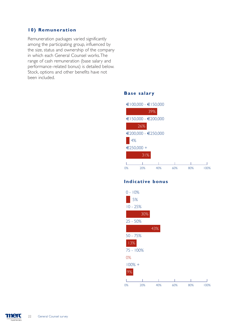# **10) Remuneration**

Remuneration packages varied significantly among the participating group, influenced by the size, status and ownership of the company in which each General Counsel works.The range of cash remuneration (base salary and performance-related bonus) is detailed below. Stock, options and other benefits have not been included.

#### **Base salary**

|    | $\in$ 100,000 - $\in$ 150,000 |     |     |     |      |
|----|-------------------------------|-----|-----|-----|------|
|    |                               | 39% |     |     |      |
|    | €150,000 - €200,000           |     |     |     |      |
|    | 26%                           |     |     |     |      |
|    | $€200,000 - €250,000$         |     |     |     |      |
| 4% |                               |     |     |     |      |
|    | $€250,000 +$                  |     |     |     |      |
|    | 31%                           |     |     |     |      |
|    |                               |     |     |     |      |
| 0% | 20%                           | 40% | 60% | 80% | 100% |

### **Indicative bonus**

| $0 - 10%$ |            |     |     |     |      |
|-----------|------------|-----|-----|-----|------|
|           | 5%         |     |     |     |      |
|           | $10 - 25%$ |     |     |     |      |
|           | 30%        |     |     |     |      |
|           | $25 - 50%$ |     |     |     |      |
|           |            | 43% |     |     |      |
|           | $50 - 75%$ |     |     |     |      |
| 13%       |            |     |     |     |      |
|           | 75 - 100%  |     |     |     |      |
| 0%        |            |     |     |     |      |
| $100% +$  |            |     |     |     |      |
| 9%        |            |     |     |     |      |
|           |            |     |     |     |      |
| 0%        | 20%        | 40% | 60% | 80% | 100% |

![](_page_23_Picture_6.jpeg)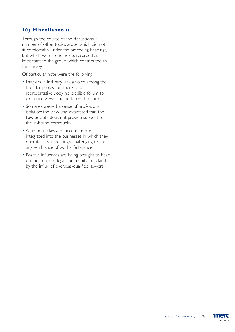## **10) Miscellaneous**

Through the course of the discussions, a number of other topics arose, which did not fit comfortably under the preceding headings, but which were nonetheless regarded as important to the group which contributed to this survey.

Of particular note were the following:

- Lawyers in industry lack a voice among the broader profession: there is no representative body, no credible forum to exchange views and no tailored training.
- Some expressed a sense of professional isolation: the view was expressed that the Law Society does not provide support to the in-house community.
- As in-house lawyers become more integrated into the businesses in which they operate, it is increasingly challenging to find any semblance of work/life balance.
- Positive influences are being brought to bear on the in-house legal community in Ireland by the influx of overseas-qualified lawyers.

![](_page_24_Picture_8.jpeg)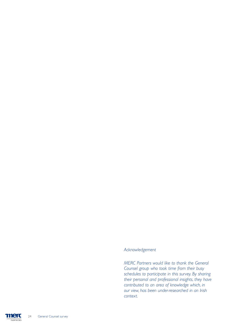# *Acknowledgement*

*MERC Partners would like to thank the General Counsel group who took time from their busy schedules to participate in this survey. By sharing their personal and professional insights, they have contributed to an area of knowledge which, in our view, has been under-researched in an Irish context.*

![](_page_25_Picture_2.jpeg)